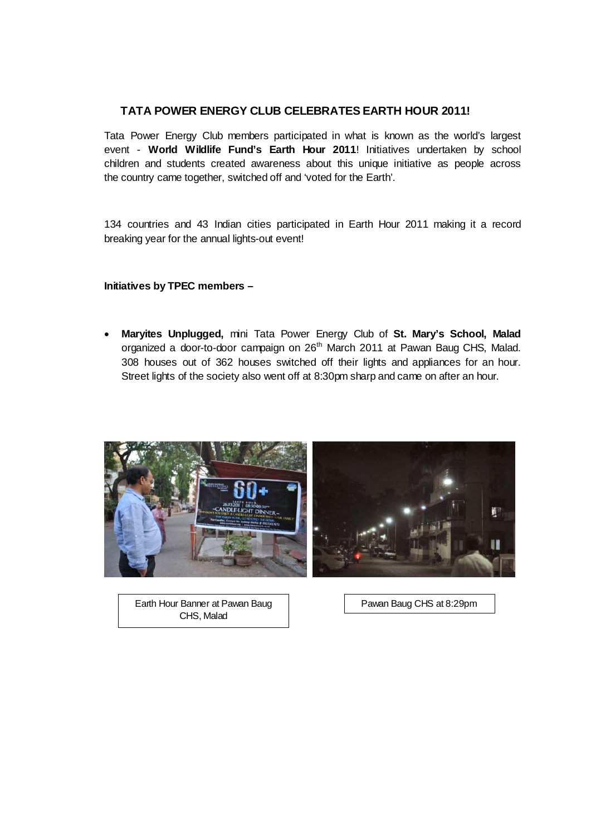## **TATA POWER ENERGY CLUB CELEBRATES EARTH HOUR 2011!**

Tata Power Energy Club members participated in what is known as the world's largest event - **World Wildlife Fund's Earth Hour 2011**! Initiatives undertaken by school children and students created awareness about this unique initiative as people across the country came together, switched off and 'voted for the Earth'.

134 countries and 43 Indian cities participated in Earth Hour 2011 making it a record breaking year for the annual lights-out event!

**Initiatives by TPEC members –** 

• **Maryites Unplugged,** mini Tata Power Energy Club of **St. Mary's School, Malad**  organized a door-to-door campaign on 26<sup>th</sup> March 2011 at Pawan Baug CHS, Malad. 308 houses out of 362 houses switched off their lights and appliances for an hour. Street lights of the society also went off at 8:30pm sharp and came on after an hour.



Earth Hour Banner at Pawan Baug CHS, Malad

Pawan Baug CHS at 8:29pm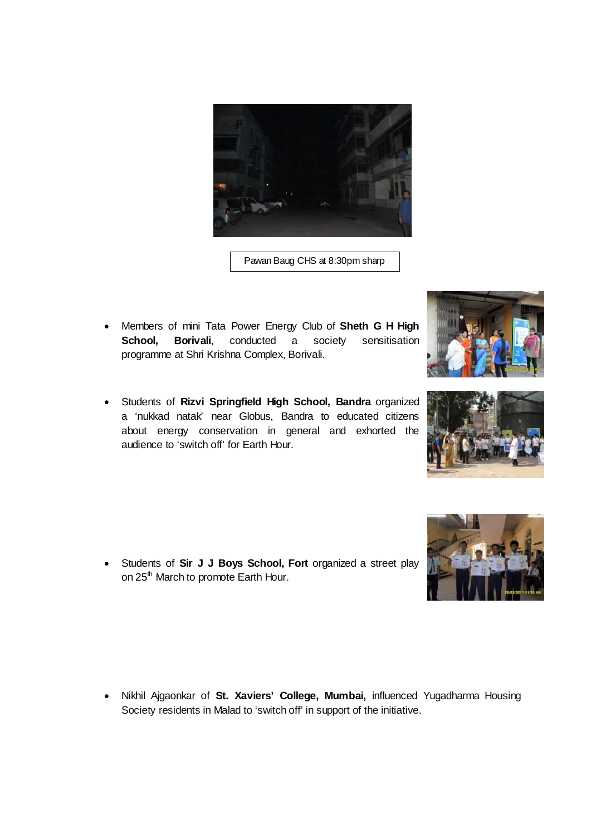

Pawan Baug CHS at 8:30pm sharp

- Members of mini Tata Power Energy Club of **Sheth G H High School, Borivali**, conducted a society sensitisation programme at Shri Krishna Complex, Borivali.
- Students of **Rizvi Springfield High School, Bandra** organized a 'nukkad natak' near Globus, Bandra to educated citizens about energy conservation in general and exhorted the audience to 'switch off' for Earth Hour.

• Students of **Sir J J Boys School, Fort** organized a street play on 25<sup>th</sup> March to promote Earth Hour.

• Nikhil Ajgaonkar of **St. Xaviers' College, Mumbai,** influenced Yugadharma Housing Society residents in Malad to 'switch off' in support of the initiative.